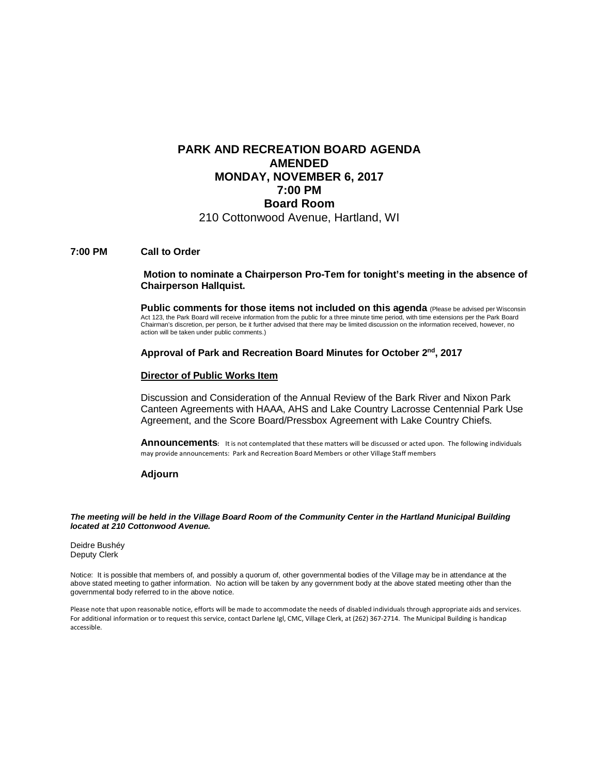### **PARK AND RECREATION BOARD AGENDA AMENDED MONDAY, NOVEMBER 6, 2017 7:00 PM Board Room** 210 Cottonwood Avenue, Hartland, WI

#### **7:00 PM Call to Order**

#### **Motion to nominate a Chairperson Pro-Tem for tonight's meeting in the absence of Chairperson Hallquist.**

**Public comments for those items not included on this agenda** (Please be advised per Wisconsin Act 123, the Park Board will receive information from the public for a three minute time period, with time extensions per the Park Board Chairman's discretion, per person, be it further advised that there may be limited discussion on the information received, however, no action will be taken under public comments.)

#### **Approval of Park and Recreation Board Minutes for October 2nd, 2017**

#### **Director of Public Works Item**

Discussion and Consideration of the Annual Review of the Bark River and Nixon Park Canteen Agreements with HAAA, AHS and Lake Country Lacrosse Centennial Park Use Agreement, and the Score Board/Pressbox Agreement with Lake Country Chiefs.

**Announcements:** It is not contemplated that these matters will be discussed or acted upon. The following individuals may provide announcements: Park and Recreation Board Members or other Village Staff members

### **Adjourn**

*The meeting will be held in the Village Board Room of the Community Center in the Hartland Municipal Building located at 210 Cottonwood Avenue.*

Deidre Bushéy Deputy Clerk

Notice: It is possible that members of, and possibly a quorum of, other governmental bodies of the Village may be in attendance at the above stated meeting to gather information. No action will be taken by any government body at the above stated meeting other than the governmental body referred to in the above notice.

Please note that upon reasonable notice, efforts will be made to accommodate the needs of disabled individuals through appropriate aids and services. For additional information or to request this service, contact Darlene Igl, CMC, Village Clerk, at (262) 367-2714. The Municipal Building is handicap accessible.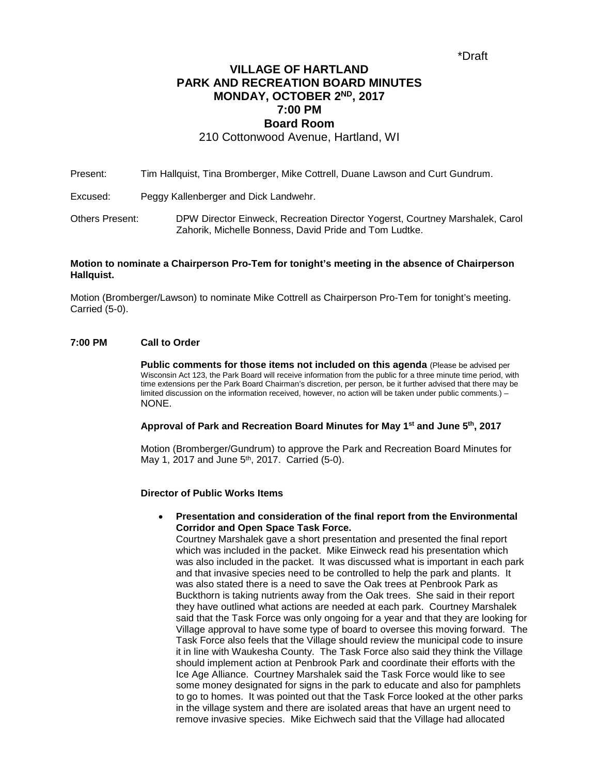### **VILLAGE OF HARTLAND PARK AND RECREATION BOARD MINUTES MONDAY, OCTOBER 2ND, 2017 7:00 PM Board Room**

210 Cottonwood Avenue, Hartland, WI

Present: Tim Hallquist, Tina Bromberger, Mike Cottrell, Duane Lawson and Curt Gundrum.

Excused: Peggy Kallenberger and Dick Landwehr.

Others Present: DPW Director Einweck, Recreation Director Yogerst, Courtney Marshalek, Carol Zahorik, Michelle Bonness, David Pride and Tom Ludtke.

### **Motion to nominate a Chairperson Pro-Tem for tonight's meeting in the absence of Chairperson Hallquist.**

Motion (Bromberger/Lawson) to nominate Mike Cottrell as Chairperson Pro-Tem for tonight's meeting. Carried (5-0).

### **7:00 PM Call to Order**

**Public comments for those items not included on this agenda** (Please be advised per Wisconsin Act 123, the Park Board will receive information from the public for a three minute time period, with time extensions per the Park Board Chairman's discretion, per person, be it further advised that there may be limited discussion on the information received, however, no action will be taken under public comments.) – NONE.

#### **Approval of Park and Recreation Board Minutes for May 1st and June 5th, 2017**

Motion (Bromberger/Gundrum) to approve the Park and Recreation Board Minutes for May 1, 2017 and June 5<sup>th</sup>, 2017. Carried (5-0).

#### **Director of Public Works Items**

• **Presentation and consideration of the final report from the Environmental Corridor and Open Space Task Force.**

Courtney Marshalek gave a short presentation and presented the final report which was included in the packet. Mike Einweck read his presentation which was also included in the packet. It was discussed what is important in each park and that invasive species need to be controlled to help the park and plants. It was also stated there is a need to save the Oak trees at Penbrook Park as Buckthorn is taking nutrients away from the Oak trees. She said in their report they have outlined what actions are needed at each park. Courtney Marshalek said that the Task Force was only ongoing for a year and that they are looking for Village approval to have some type of board to oversee this moving forward. The Task Force also feels that the Village should review the municipal code to insure it in line with Waukesha County. The Task Force also said they think the Village should implement action at Penbrook Park and coordinate their efforts with the Ice Age Alliance. Courtney Marshalek said the Task Force would like to see some money designated for signs in the park to educate and also for pamphlets to go to homes. It was pointed out that the Task Force looked at the other parks in the village system and there are isolated areas that have an urgent need to remove invasive species. Mike Eichwech said that the Village had allocated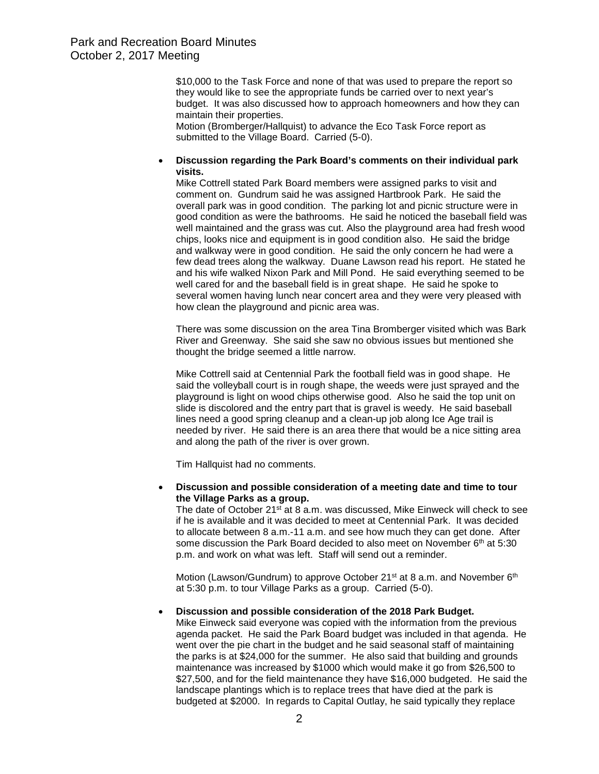\$10,000 to the Task Force and none of that was used to prepare the report so they would like to see the appropriate funds be carried over to next year's budget. It was also discussed how to approach homeowners and how they can maintain their properties.

Motion (Bromberger/Hallquist) to advance the Eco Task Force report as submitted to the Village Board. Carried (5-0).

### • **Discussion regarding the Park Board's comments on their individual park visits.**

Mike Cottrell stated Park Board members were assigned parks to visit and comment on. Gundrum said he was assigned Hartbrook Park. He said the overall park was in good condition. The parking lot and picnic structure were in good condition as were the bathrooms. He said he noticed the baseball field was well maintained and the grass was cut. Also the playground area had fresh wood chips, looks nice and equipment is in good condition also. He said the bridge and walkway were in good condition. He said the only concern he had were a few dead trees along the walkway. Duane Lawson read his report. He stated he and his wife walked Nixon Park and Mill Pond. He said everything seemed to be well cared for and the baseball field is in great shape. He said he spoke to several women having lunch near concert area and they were very pleased with how clean the playground and picnic area was.

There was some discussion on the area Tina Bromberger visited which was Bark River and Greenway. She said she saw no obvious issues but mentioned she thought the bridge seemed a little narrow.

Mike Cottrell said at Centennial Park the football field was in good shape. He said the volleyball court is in rough shape, the weeds were just sprayed and the playground is light on wood chips otherwise good. Also he said the top unit on slide is discolored and the entry part that is gravel is weedy. He said baseball lines need a good spring cleanup and a clean-up job along Ice Age trail is needed by river. He said there is an area there that would be a nice sitting area and along the path of the river is over grown.

Tim Hallquist had no comments.

• **Discussion and possible consideration of a meeting date and time to tour the Village Parks as a group.**

The date of October 21<sup>st</sup> at 8 a.m. was discussed, Mike Einweck will check to see if he is available and it was decided to meet at Centennial Park. It was decided to allocate between 8 a.m.-11 a.m. and see how much they can get done. After some discussion the Park Board decided to also meet on November 6<sup>th</sup> at 5:30 p.m. and work on what was left. Staff will send out a reminder.

Motion (Lawson/Gundrum) to approve October 21<sup>st</sup> at 8 a.m. and November 6<sup>th</sup> at 5:30 p.m. to tour Village Parks as a group. Carried (5-0).

### • **Discussion and possible consideration of the 2018 Park Budget.**

Mike Einweck said everyone was copied with the information from the previous agenda packet. He said the Park Board budget was included in that agenda. He went over the pie chart in the budget and he said seasonal staff of maintaining the parks is at \$24,000 for the summer. He also said that building and grounds maintenance was increased by \$1000 which would make it go from \$26,500 to \$27,500, and for the field maintenance they have \$16,000 budgeted. He said the landscape plantings which is to replace trees that have died at the park is budgeted at \$2000. In regards to Capital Outlay, he said typically they replace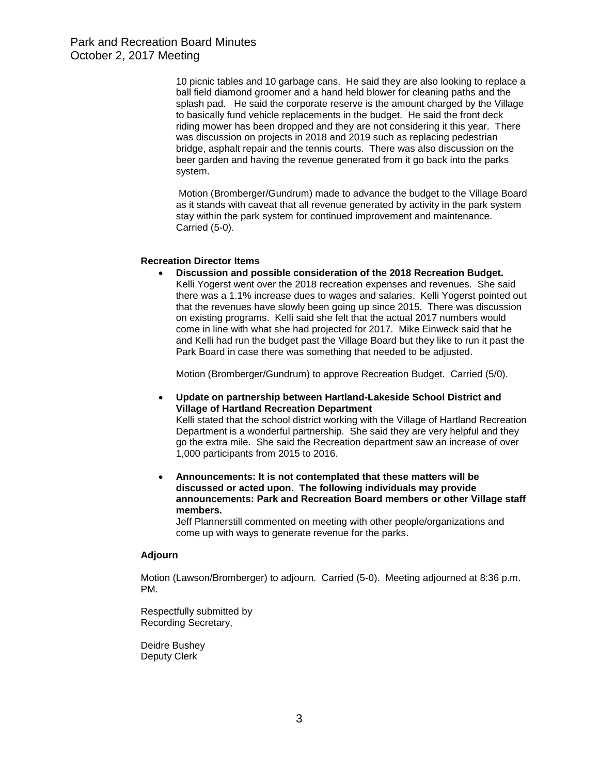10 picnic tables and 10 garbage cans. He said they are also looking to replace a ball field diamond groomer and a hand held blower for cleaning paths and the splash pad. He said the corporate reserve is the amount charged by the Village to basically fund vehicle replacements in the budget. He said the front deck riding mower has been dropped and they are not considering it this year. There was discussion on projects in 2018 and 2019 such as replacing pedestrian bridge, asphalt repair and the tennis courts. There was also discussion on the beer garden and having the revenue generated from it go back into the parks system.

Motion (Bromberger/Gundrum) made to advance the budget to the Village Board as it stands with caveat that all revenue generated by activity in the park system stay within the park system for continued improvement and maintenance. Carried (5-0).

### **Recreation Director Items**

• **Discussion and possible consideration of the 2018 Recreation Budget.** Kelli Yogerst went over the 2018 recreation expenses and revenues. She said there was a 1.1% increase dues to wages and salaries. Kelli Yogerst pointed out that the revenues have slowly been going up since 2015. There was discussion on existing programs. Kelli said she felt that the actual 2017 numbers would come in line with what she had projected for 2017. Mike Einweck said that he and Kelli had run the budget past the Village Board but they like to run it past the Park Board in case there was something that needed to be adjusted.

Motion (Bromberger/Gundrum) to approve Recreation Budget. Carried (5/0).

• **Update on partnership between Hartland-Lakeside School District and Village of Hartland Recreation Department**

Kelli stated that the school district working with the Village of Hartland Recreation Department is a wonderful partnership. She said they are very helpful and they go the extra mile. She said the Recreation department saw an increase of over 1,000 participants from 2015 to 2016.

• **Announcements: It is not contemplated that these matters will be discussed or acted upon. The following individuals may provide announcements: Park and Recreation Board members or other Village staff members.**

Jeff Plannerstill commented on meeting with other people/organizations and come up with ways to generate revenue for the parks.

#### **Adjourn**

Motion (Lawson/Bromberger) to adjourn. Carried (5-0). Meeting adjourned at 8:36 p.m. PM.

Respectfully submitted by Recording Secretary,

Deidre Bushey Deputy Clerk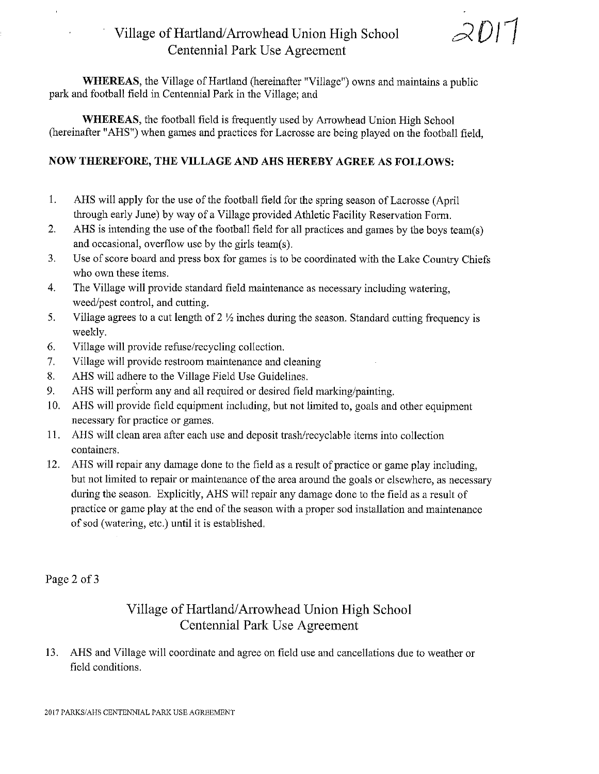## Village of Hartland/Arrowhead Union High School Centennial Park Use Agreement

 $2D17$ 

**WHEREAS**, the Village of Hartland (hereinafter "Village") owns and maintains a public park and football field in Centennial Park in the Village; and

**WHEREAS**, the football field is frequently used by Arrowhead Union High School (hereinafter "AHS") when games and practices for Lacrosse are being played on the football field,

### NOW THEREFORE, THE VILLAGE AND AHS HEREBY AGREE AS FOLLOWS:

- 1. AHS will apply for the use of the football field for the spring season of Lacrosse (April through early June) by way of a Village provided Athletic Facility Reservation Form.
- $2.$ AHS is intending the use of the football field for all practices and games by the boys team(s) and occasional, overflow use by the girls team(s).
- Use of score board and press box for games is to be coordinated with the Lake Country Chiefs 3. who own these items.
- $\overline{4}$ . The Village will provide standard field maintenance as necessary including watering, weed/pest control, and cutting.
- Village agrees to a cut length of  $2\frac{1}{2}$  inches during the season. Standard cutting frequency is 5. weekly.
- 6. Village will provide refuse/recycling collection.
- $7.$ Village will provide restroom maintenance and cleaning
- 8. AHS will adhere to the Village Field Use Guidelines.
- 9. AHS will perform any and all required or desired field marking/painting.
- AHS will provide field equipment including, but not limited to, goals and other equipment 10. necessary for practice or games.
- 11. AHS will clean area after each use and deposit trash/recyclable items into collection containers.
- 12. AHS will repair any damage done to the field as a result of practice or game play including, but not limited to repair or maintenance of the area around the goals or elsewhere, as necessary during the season. Explicitly, AHS will repair any damage done to the field as a result of practice or game play at the end of the season with a proper sod installation and maintenance of sod (watering, etc.) until it is established.

Page 2 of 3

## Village of Hartland/Arrowhead Union High School Centennial Park Use Agreement

13. AHS and Village will coordinate and agree on field use and cancellations due to weather or field conditions.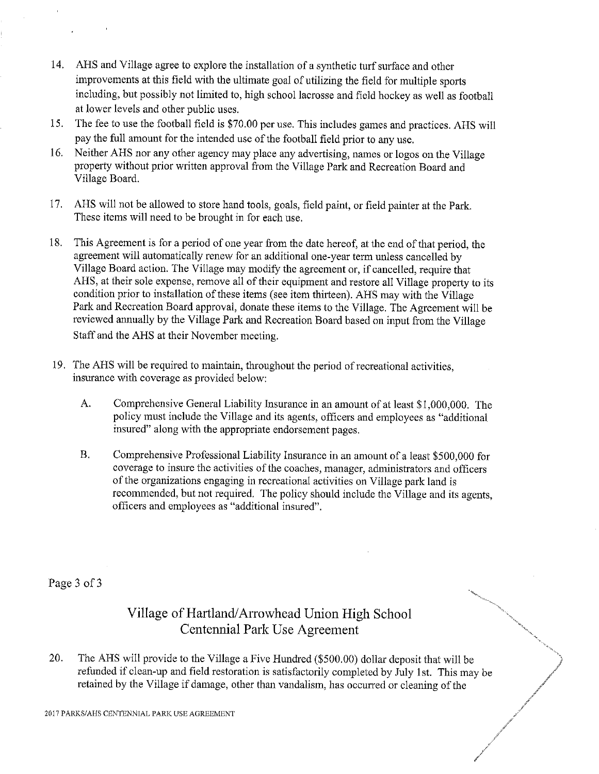- 14. AHS and Village agree to explore the installation of a synthetic turf surface and other improvements at this field with the ultimate goal of utilizing the field for multiple sports including, but possibly not limited to, high school lacrosse and field hockey as well as football at lower levels and other public uses.
- The fee to use the football field is \$70.00 per use. This includes games and practices. AHS will 15. pay the full amount for the intended use of the football field prior to any use.
- 16. Neither AHS nor any other agency may place any advertising, names or logos on the Village property without prior written approval from the Village Park and Recreation Board and Village Board.
- 17. AHS will not be allowed to store hand tools, goals, field paint, or field painter at the Park. These items will need to be brought in for each use.
- This Agreement is for a period of one year from the date hereof, at the end of that period, the 18. agreement will automatically renew for an additional one-year term unless cancelled by Village Board action. The Village may modify the agreement or, if cancelled, require that AHS, at their sole expense, remove all of their equipment and restore all Village property to its condition prior to installation of these items (see item thirteen). AHS may with the Village Park and Recreation Board approval, donate these items to the Village. The Agreement will be reviewed annually by the Village Park and Recreation Board based on input from the Village Staff and the AHS at their November meeting.
- 19. The AHS will be required to maintain, throughout the period of recreational activities, insurance with coverage as provided below:
	- Comprehensive General Liability Insurance in an amount of at least \$1,000,000. The A. policy must include the Village and its agents, officers and employees as "additional insured" along with the appropriate endorsement pages.
	- $\mathbf{B}$ . Comprehensive Professional Liability Insurance in an amount of a least \$500,000 for coverage to insure the activities of the coaches, manager, administrators and officers of the organizations engaging in recreational activities on Village park land is recommended, but not required. The policy should include the Village and its agents, officers and employees as "additional insured".

Page 3 of 3

## Village of Hartland/Arrowhead Union High School Centennial Park Use Agreement

20. The AHS will provide to the Village a Five Hundred (\$500.00) dollar deposit that will be refunded if clean-up and field restoration is satisfactorily completed by July 1st. This may be retained by the Village if damage, other than vandalism, has occurred or cleaning of the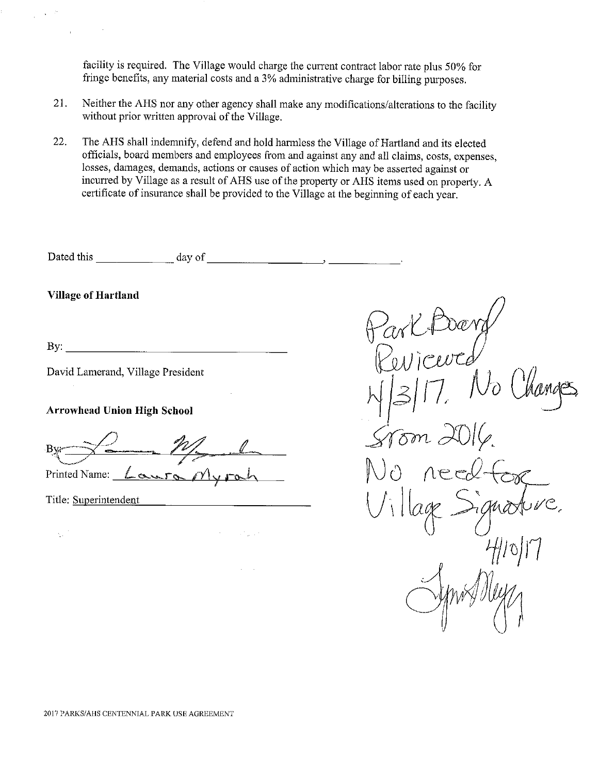facility is required. The Village would charge the current contract labor rate plus 50% for fringe benefits, any material costs and a 3% administrative charge for billing purposes.

- 21. Neither the AHS nor any other agency shall make any modifications/alterations to the facility without prior written approval of the Village.
- 22. The AHS shall indemnify, defend and hold harmless the Village of Hartland and its elected officials, board members and employees from and against any and all claims, costs, expenses, losses, damages, demands, actions or causes of action which may be asserted against or incurred by Village as a result of AHS use of the property or AHS items used on property. A certificate of insurance shall be provided to the Village at the beginning of each year.

Dated this  $\frac{1}{\frac{1}{\frac{1}{\sqrt{1-\frac{1}{\sqrt{1-\frac{1}{\sqrt{1-\frac{1}{\sqrt{1-\frac{1}{\sqrt{1-\frac{1}{\sqrt{1-\frac{1}{\sqrt{1-\frac{1}{\sqrt{1-\frac{1}{\sqrt{1-\frac{1}{\sqrt{1-\frac{1}{\sqrt{1-\frac{1}{\sqrt{1-\frac{1}{\sqrt{1-\frac{1}{\sqrt{1-\frac{1}{\sqrt{1-\frac{1}{\sqrt{1-\frac{1}{\sqrt{1-\frac{1}{\sqrt{1-\frac{1}{\sqrt{1-\frac{1}{\sqrt{1-\frac{1}{\sqrt{1-\frac{1}{\sqrt{1-\$ 

**Village of Hartland** 

By:  $\qquad \qquad$ 

David Lamerand, Village President

**Arrowhead Union High School** 

Printed Name: <u>Lawra</u> Myrah

Title: Superintendent

 $\eta_{\rm B}$  .

San Julia

 $\frac{1}{\sqrt{2}}$  $\widehat{\delta m}$  c しゃこ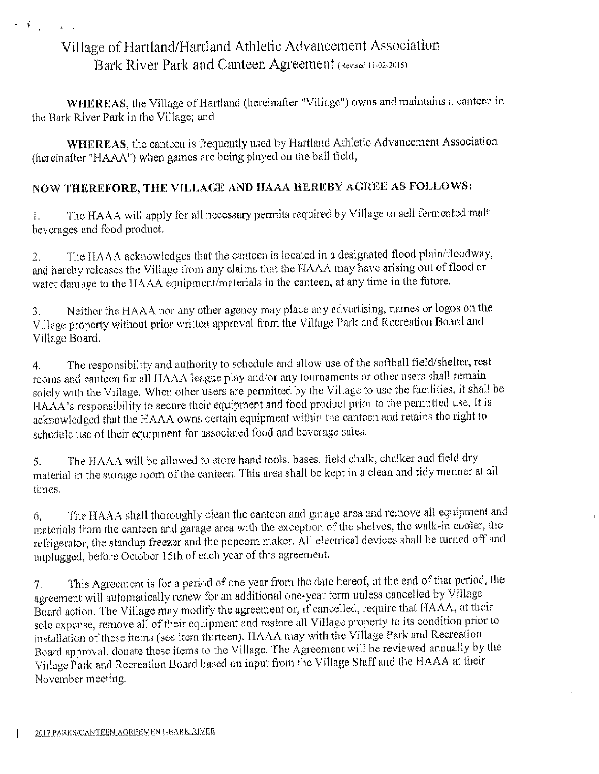# Village of Hartland/Hartland Athletic Advancement Association Bark River Park and Canteen Agreement (Revised 11-02-2015)

 $\mathbf{v} = \widetilde{\mathbf{y}}_{\text{max}} = \frac{1}{2} \sum_{i=1}^{n} \mathbf{y}_{\text{max}}^T \mathbf{y}_{\text{max}}^T$ 

WHEREAS, the Village of Hartland (hereinafter "Village") owns and maintains a canteen in the Bark River Park in the Village; and

WHEREAS, the canteen is frequently used by Hartland Athletic Advancement Association (hereinafter "HAAA") when games are being played on the ball field,

### NOW THEREFORE, THE VILLAGE AND HAAA HEREBY AGREE AS FOLLOWS:

The HAAA will apply for all necessary permits required by Village to sell fermented malt  $\mathbf{1}$ . beverages and food product.

The HAAA acknowledges that the canteen is located in a designated flood plain/floodway,  $2.$ and hereby releases the Village from any claims that the HAAA may have arising out of flood or water damage to the HAAA equipment/materials in the canteen, at any time in the future.

Neither the HAAA nor any other agency may place any advertising, names or logos on the  $\overline{3}$ . Village property without prior written approval from the Village Park and Recreation Board and Village Board.

The responsibility and authority to schedule and allow use of the softball field/shelter, rest 4. rooms and canteen for all HAAA league play and/or any tournaments or other users shall remain solely with the Village. When other users are permitted by the Village to use the facilities, it shall be HAAA's responsibility to secure their equipment and food product prior to the permitted use. It is acknowledged that the HAAA owns certain equipment within the canteen and retains the right to schedule use of their equipment for associated food and beverage sales.

The HAAA will be allowed to store hand tools, bases, field chalk, chalker and field dry 5. material in the storage room of the canteen. This area shall be kept in a clean and tidy manner at all times.

The HAAA shall thoroughly clean the canteen and garage area and remove all equipment and 6. materials from the canteen and garage area with the exception of the shelves, the walk-in cooler, the refrigerator, the standup freezer and the popcorn maker. All electrical devices shall be turned off and unplugged, before October 15th of each year of this agreement.

This Agreement is for a period of one year from the date hereof, at the end of that period, the  $\mathcal{T}$ . agreement will automatically renew for an additional one-year term unless cancelled by Village Board action. The Village may modify the agreement or, if cancelled, require that HAAA, at their sole expense, remove all of their equipment and restore all Village property to its condition prior to installation of these items (see item thirteen). HAAA may with the Village Park and Recreation Board approval, donate these items to the Village. The Agreement will be reviewed annually by the Village Park and Recreation Board based on input from the Village Staff and the HAAA at their November meeting.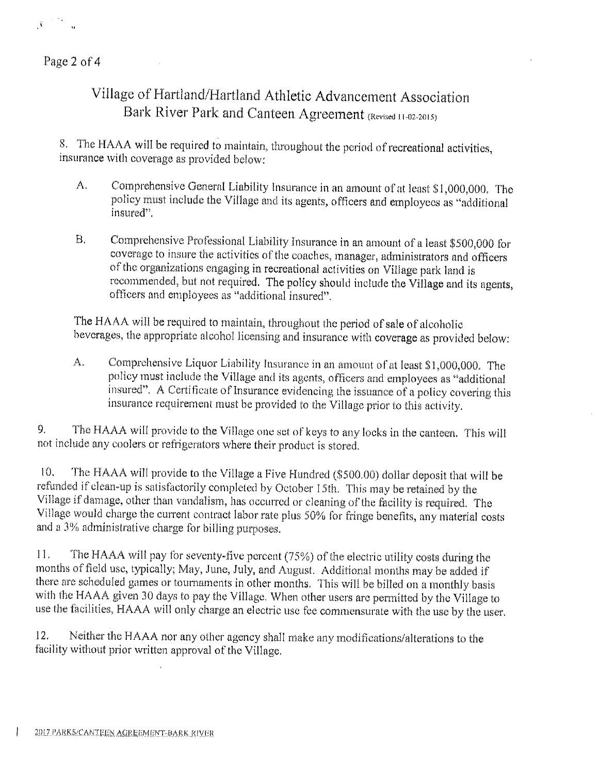

Page 2 of 4

# Village of Hartland/Hartland Athletic Advancement Association Bark River Park and Canteen Agreement (Revised 11-02-2015)

8. The HAAA will be required to maintain, throughout the period of recreational activities, insurance with coverage as provided below:

- Comprehensive General Liability Insurance in an amount of at least \$1,000,000. The  $\Lambda$ . policy must include the Village and its agents, officers and employees as "additional insured".
- Comprehensive Professional Liability Insurance in an amount of a least \$500,000 for  $B.$ coverage to insure the activities of the coaches, manager, administrators and officers of the organizations engaging in recreational activities on Village park land is recommended, but not required. The policy should include the Village and its agents, officers and employees as "additional insured".

The HAAA will be required to maintain, throughout the period of sale of alcoholic beverages, the appropriate alcohol licensing and insurance with coverage as provided below:

Comprehensive Liquor Liability Insurance in an amount of at least \$1,000,000. The A. policy must include the Village and its agents, officers and employees as "additional insured". A Certificate of Insurance evidencing the issuance of a policy covering this insurance requirement must be provided to the Village prior to this activity.

The HAAA will provide to the Village one set of keys to any locks in the canteen. This will 9. not include any coolers or refrigerators where their product is stored.

The HAAA will provide to the Village a Five Hundred (\$500.00) dollar deposit that will be  $10.$ refunded if clean-up is satisfactorily completed by October 15th. This may be retained by the Village if damage, other than vandalism, has occurred or cleaning of the facility is required. The Village would charge the current contract labor rate plus 50% for fringe benefits, any material costs and a 3% administrative charge for billing purposes.

The HAAA will pay for seventy-five percent (75%) of the electric utility costs during the 11. months of field use, typically; May, June, July, and August. Additional months may be added if there are scheduled games or tournaments in other months. This will be billed on a monthly basis with the HAAA given 30 days to pay the Village. When other users are permitted by the Village to use the facilities, HAAA will only charge an electric use fee commensurate with the use by the user.

12. Neither the HAAA nor any other agency shall make any modifications/alterations to the facility without prior written approval of the Village.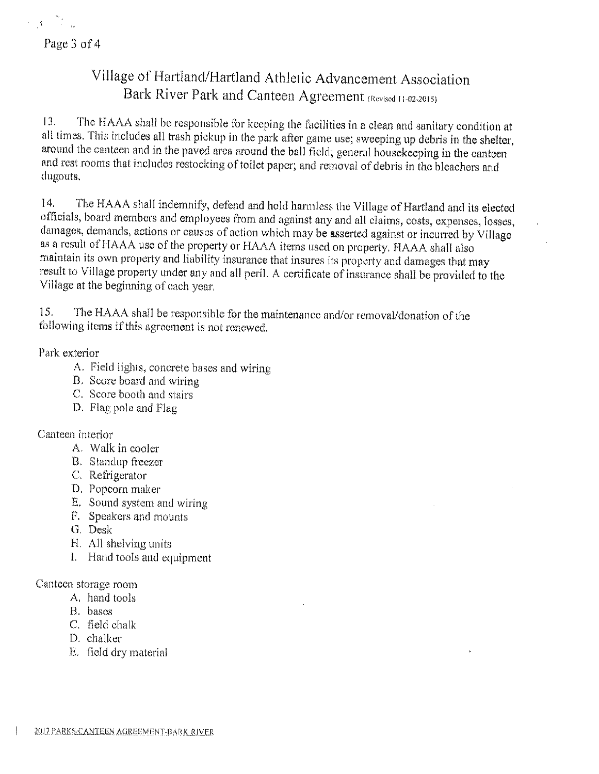Page 3 of 4

 $\label{eq:2} \mathcal{L} = \frac{1}{4} \left[ \begin{array}{cc} \mathcal{L} & \mathcal{L}_{\text{max}} \\ \mathcal{L}_{\text{max}} & \mathcal{L}_{\text{max}} \end{array} \right]$ 

# Village of Hartland/Hartland Athletic Advancement Association Bark River Park and Canteen Agreement (Revised 11-02-2015)

The HAAA shall be responsible for keeping the facilities in a clean and sanitary condition at 13. all times. This includes all trash pickup in the park after game use; sweeping up debris in the shelter, around the canteen and in the paved area around the ball field; general housekeeping in the canteen and rest rooms that includes restocking of toilet paper; and removal of debris in the bleachers and dugouts.

The HAAA shall indemnify, defend and hold harmless the Village of Hartland and its elected 14. officials, board members and employees from and against any and all claims, costs, expenses, losses, damages, demands, actions or causes of action which may be asserted against or incurred by Village as a result of HAAA use of the property or HAAA items used on property. HAAA shall also maintain its own property and liability insurance that insures its property and damages that may result to Village property under any and all peril. A certificate of insurance shall be provided to the Village at the beginning of each year.

The HAAA shall be responsible for the maintenance and/or removal/donation of the 15. following items if this agreement is not renewed.

Park exterior

- A. Field lights, concrete bases and wiring
- B. Score board and wiring
- C. Score booth and stairs
- D. Flag pole and Flag

Canteen interior

- A. Walk in cooler
- B. Standup freezer
- C. Refrigerator
- D. Popcorn maker
- E. Sound system and wiring
- F. Speakers and mounts
- G. Desk
- H. All shelving units
- I. Hand tools and equipment

Canteen storage room

- A. hand tools
- B. bases
- C. field chalk
- D. chalker
- E. field dry material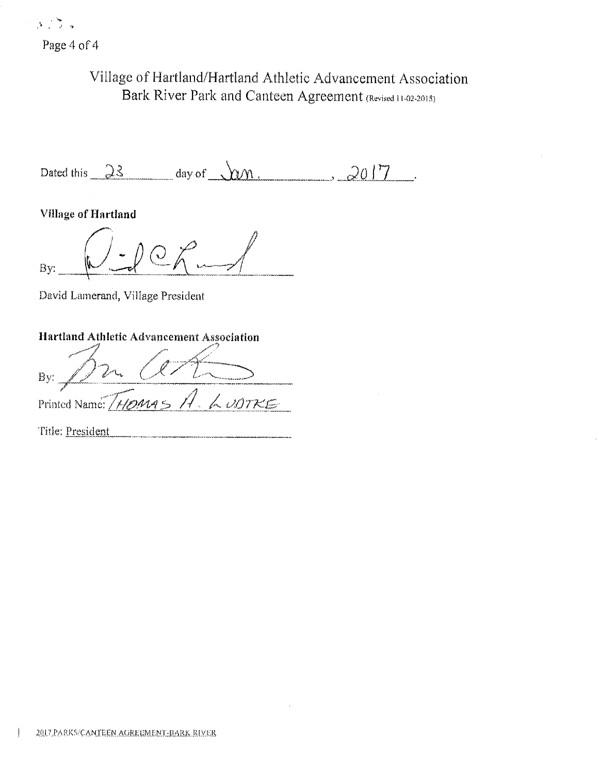Page 4 of 4

والأنافيات

# Village of Hartland/Hartland Athletic Advancement Association Bark River Park and Canteen Agreement (Revised 11-02-2015)

Dated this  $\frac{\partial \mathcal{S}}{\partial x}$  day of  $\sqrt{\mathcal{W}}$ .  $2017$ 

**Village of Hartland** 

By:

David Lamerand, Village President

## Hartland Athletic Advancement Association

By: Printed Name: [HOMAS H. LUDTKE

Title: President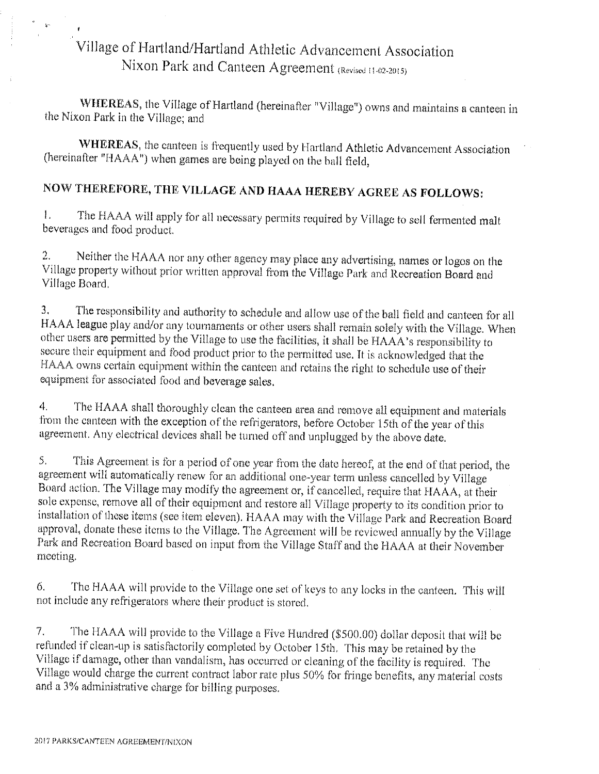# Village of Hartland/Hartland Athletic Advancement Association Nixon Park and Canteen Agreement (Revised 11-02-2015)

WHEREAS, the Village of Hartland (hereinafter "Village") owns and maintains a canteen in the Nixon Park in the Village; and

WHEREAS, the canteen is frequently used by Hartland Athletic Advancement Association (hereinafter "HAAA") when games are being played on the ball field,

# NOW THEREFORE, THE VILLAGE AND HAAA HEREBY AGREE AS FOLLOWS:

The HAAA will apply for all necessary permits required by Village to sell fermented malt  $\mathbf{I}$ . beverages and food product.

Neither the HAAA nor any other agency may place any advertising, names or logos on the  $2.$ Village property without prior written approval from the Village Park and Recreation Board and Village Board.

The responsibility and authority to schedule and allow use of the ball field and canteen for all  $3.$ HAAA league play and/or any tournaments or other users shall remain solely with the Village. When other users are permitted by the Village to use the facilities, it shall be HAAA's responsibility to secure their equipment and food product prior to the permitted use. It is acknowledged that the HAAA owns certain equipment within the canteen and retains the right to schedule use of their equipment for associated food and beverage sales.

The HAAA shall thoroughly clean the canteen area and remove all equipment and materials  $4<sub>1</sub>$ from the canteen with the exception of the refrigerators, before October 15th of the year of this agreement. Any electrical devices shall be turned off and unplugged by the above date.

This Agreement is for a period of one year from the date hereof, at the end of that period, the 5. agreement will automatically renew for an additional one-year term unless cancelled by Village Board action. The Village may modify the agreement or, if cancelled, require that HAAA, at their sole expense, remove all of their equipment and restore all Village property to its condition prior to installation of these items (see item eleven). HAAA may with the Village Park and Recreation Board approval, donate these items to the Village. The Agreement will be reviewed annually by the Village Park and Recreation Board based on input from the Village Staff and the HAAA at their November meeting.

The HAAA will provide to the Village one set of keys to any locks in the canteen. This will 6. not include any refrigerators where their product is stored.

 $7.$ The HAAA will provide to the Village a Five Hundred (\$500.00) dollar deposit that will be refunded if clean-up is satisfactorily completed by October 15th. This may be retained by the Village if damage, other than vandalism, has occurred or cleaning of the facility is required. The Village would charge the current contract labor rate plus 50% for fringe benefits, any material costs and a 3% administrative charge for billing purposes.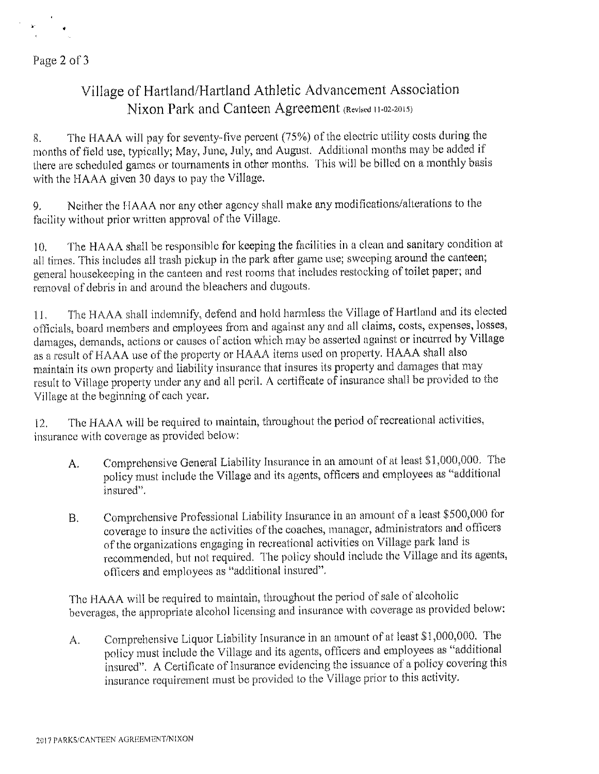Page 2 of 3

# Village of Hartland/Hartland Athletic Advancement Association Nixon Park and Canteen Agreement (Revised 11-02-2015)

The HAAA will pay for seventy-five percent (75%) of the electric utility costs during the 8. months of field use, typically; May, June, July, and August. Additional months may be added if there are scheduled games or tournaments in other months. This will be billed on a monthly basis with the HAAA given 30 days to pay the Village.

Neither the HAAA nor any other agency shall make any modifications/alterations to the 9. facility without prior written approval of the Village.

The HAAA shall be responsible for keeping the facilities in a clean and sanitary condition at  $10.$ all times. This includes all trash pickup in the park after game use; sweeping around the canteen; general housekeeping in the canteen and rest rooms that includes restocking of toilet paper; and removal of debris in and around the bleachers and dugouts.

The HAAA shall indemnify, defend and hold harmless the Village of Hartland and its elected  $11.$ officials, board members and employees from and against any and all claims, costs, expenses, losses, damages, demands, actions or causes of action which may be asserted against or incurred by Village as a result of HAAA use of the property or HAAA items used on property. HAAA shall also maintain its own property and liability insurance that insures its property and damages that may result to Village property under any and all peril. A certificate of insurance shall be provided to the Village at the beginning of each year.

The HAAA will be required to maintain, throughout the period of recreational activities,  $12.$ insurance with coverage as provided below:

- Comprehensive General Liability Insurance in an amount of at least \$1,000,000. The  $\mathbf{A}$ . policy must include the Village and its agents, officers and employees as "additional insured".
- Comprehensive Professional Liability Insurance in an amount of a least \$500,000 for  $B$ . coverage to insure the activities of the coaches, manager, administrators and officers of the organizations engaging in recreational activities on Village park land is recommended, but not required. The policy should include the Village and its agents, officers and employees as "additional insured".

The HAAA will be required to maintain, throughout the period of sale of alcoholic beverages, the appropriate alcohol licensing and insurance with coverage as provided below:

Comprehensive Liquor Liability Insurance in an amount of at least \$1,000,000. The  $A_{\cdot}$ policy must include the Village and its agents, officers and employees as "additional insured". A Certificate of Insurance evidencing the issuance of a policy covering this insurance requirement must be provided to the Village prior to this activity.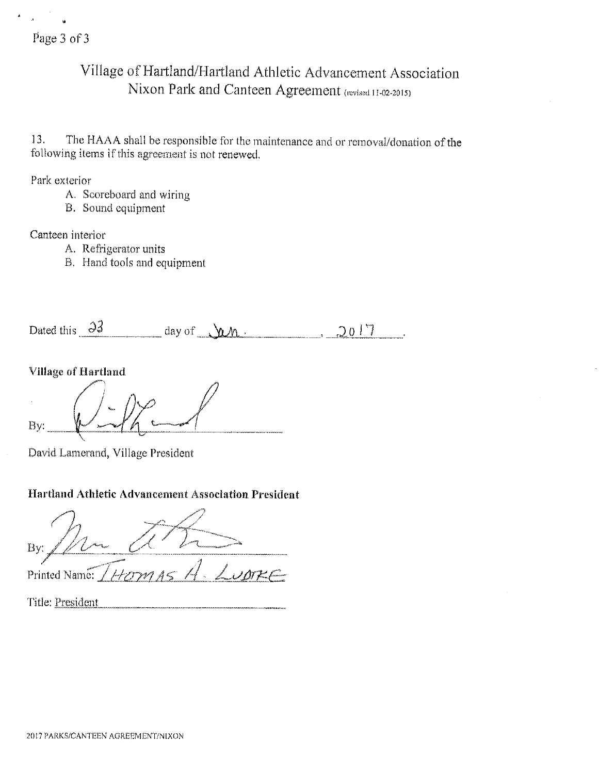## Village of Hartland/Hartland Athletic Advancement Association Nixon Park and Canteen Agreement (revised 11-02-2015)

The HAAA shall be responsible for the maintenance and or removal/donation of the 13. following items if this agreement is not renewed.

Park exterior

- A. Scoreboard and wiring
- B. Sound equipment

Canteen interior

- A. Refrigerator units
- B. Hand tools and equipment

 $day of u$ Dated this  $\partial$ 3  $-2017$ 

Village of Hartland

By:

David Lamerand, Village President

## Hartland Athletic Advancement Association President

By: Printed Name: / Title: President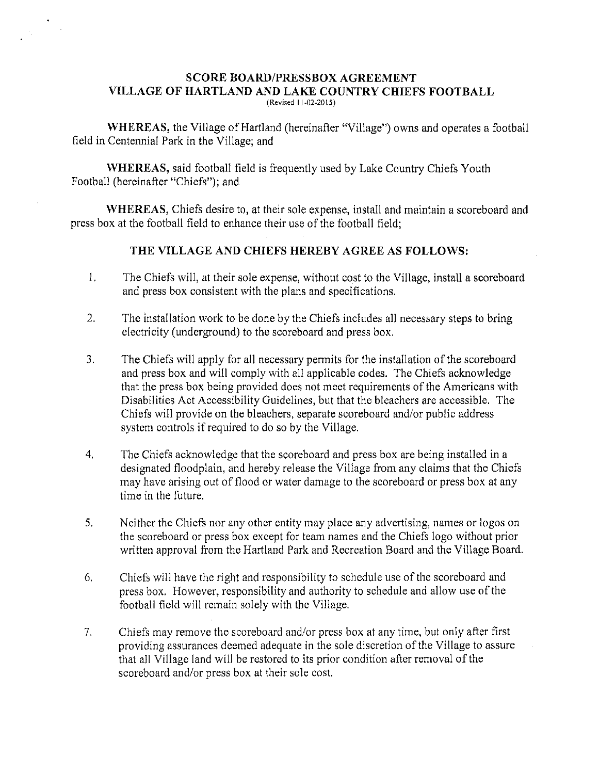### **SCORE BOARD/PRESSBOX AGREEMENT** VILLAGE OF HARTLAND AND LAKE COUNTRY CHIEFS FOOTBALL (Revised 11-02-2015)

**WHEREAS,** the Village of Hartland (hereinafter "Village") owns and operates a football field in Centennial Park in the Village; and

WHEREAS, said football field is frequently used by Lake Country Chiefs Youth Football (hereinafter "Chiefs"); and

WHEREAS, Chiefs desire to, at their sole expense, install and maintain a scoreboard and press box at the football field to enhance their use of the football field;

### THE VILLAGE AND CHIEFS HEREBY AGREE AS FOLLOWS:

- $1.$ The Chiefs will, at their sole expense, without cost to the Village, install a scoreboard and press box consistent with the plans and specifications.
- $2.$ The installation work to be done by the Chiefs includes all necessary steps to bring electricity (underground) to the scoreboard and press box.
- $3<sub>1</sub>$ The Chiefs will apply for all necessary permits for the installation of the scoreboard and press box and will comply with all applicable codes. The Chiefs acknowledge that the press box being provided does not meet requirements of the Americans with Disabilities Act Accessibility Guidelines, but that the bleachers are accessible. The Chiefs will provide on the bleachers, separate scoreboard and/or public address system controls if required to do so by the Village.
- $4.$ The Chiefs acknowledge that the scoreboard and press box are being installed in a designated floodplain, and hereby release the Village from any claims that the Chiefs may have arising out of flood or water damage to the scoreboard or press box at any time in the future.
- $5<sub>1</sub>$ Neither the Chiefs nor any other entity may place any advertising, names or logos on the scoreboard or press box except for team names and the Chiefs logo without prior written approval from the Hartland Park and Recreation Board and the Village Board.
- 6. Chiefs will have the right and responsibility to schedule use of the scoreboard and press box. However, responsibility and authority to schedule and allow use of the football field will remain solely with the Village.
- Chiefs may remove the scoreboard and/or press box at any time, but only after first 7. providing assurances deemed adequate in the sole discretion of the Village to assure that all Village land will be restored to its prior condition after removal of the scoreboard and/or press box at their sole cost.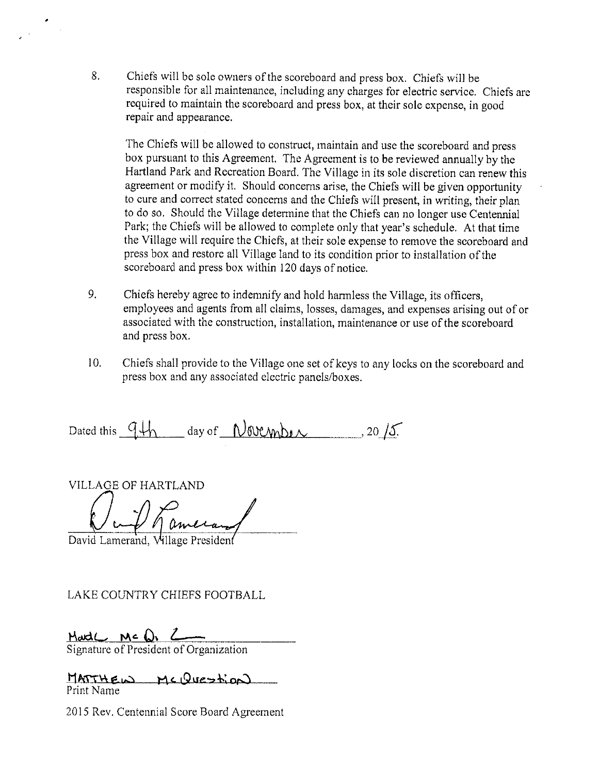8. Chiefs will be sole owners of the scoreboard and press box. Chiefs will be responsible for all maintenance, including any charges for electric service. Chiefs are required to maintain the scoreboard and press box, at their sole expense, in good repair and appearance.

The Chiefs will be allowed to construct, maintain and use the scoreboard and press box pursuant to this Agreement. The Agreement is to be reviewed annually by the Hartland Park and Recreation Board. The Village in its sole discretion can renew this agreement or modify it. Should concerns arise, the Chiefs will be given opportunity to cure and correct stated concerns and the Chiefs will present, in writing, their plan to do so. Should the Village determine that the Chiefs can no longer use Centennial Park; the Chiefs will be allowed to complete only that year's schedule. At that time the Village will require the Chiefs, at their sole expense to remove the scoreboard and press box and restore all Village land to its condition prior to installation of the scoreboard and press box within 120 days of notice.

- 9. Chiefs hereby agree to indemnify and hold harmless the Village, its officers, employees and agents from all claims, losses, damages, and expenses arising out of or associated with the construction, installation, maintenance or use of the scoreboard and press box.
- $10.$ Chiefs shall provide to the Village one set of keys to any locks on the scoreboard and press box and any associated electric panels/boxes.

Dated this  $9\frac{1}{10}$  day of November , 20/5.

**VILLAGE OF HARTLAND** 

David Lamerand, Village President

LAKE COUNTRY CHIEFS FOOTBALL

Mad( Mc O<sub>1</sub> 2<br>Signature of President of Organization

MATTHEW MCQUEStiON Print Name

2015 Rev. Centennial Score Board Agreement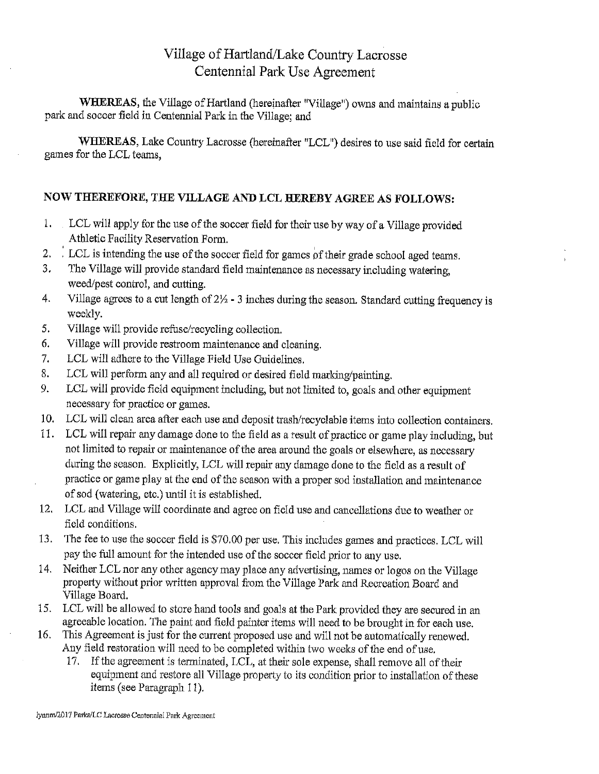## Village of Hartland/Lake Country Lacrosse Centennial Park Use Agreement

WHEREAS, the Village of Hartland (hereinafter "Village") owns and maintains a public park and soccer field in Centennial Park in the Village; and

WHEREAS, Lake Country Lacrosse (hereinafter "LCL") desires to use said field for certain games for the LCL teams.

### NOW THEREFORE, THE VILLAGE AND LCL HEREBY AGREE AS FOLLOWS:

- 1. LCL will apply for the use of the soccer field for their use by way of a Village provided Athletic Facility Reservation Form.
- $2.$ . LCL is intending the use of the soccer field for games of their grade school aged teams.
- The Village will provide standard field maintenance as necessary including watering, 3. weed/pest control, and cutting.
- Village agrees to a cut length of  $2\frac{1}{2}$  3 inches during the season. Standard cutting frequency is 4. weekly.
- 5. Village will provide refuse/recycling collection.
- Village will provide restroom maintenance and cleaning. 6.
- LCL will adhere to the Village Field Use Guidelines. 7.
- LCL will perform any and all required or desired field marking/painting. 8.
- LCL will provide field equipment including, but not limited to, goals and other equipment 9. necessary for practice or games.
- 10. LCL will clean area after each use and deposit trash/recyclable items into collection containers.
- 11. LCL will repair any damage done to the field as a result of practice or game play including, but not limited to repair or maintenance of the area around the goals or elsewhere, as necessary during the season. Explicitly, LCL will repair any damage done to the field as a result of practice or game play at the end of the season with a proper sod installation and maintenance of sod (watering, etc.) until it is established.
- 12. LCL and Village will coordinate and agree on field use and cancellations due to weather or field conditions.
- The fee to use the soccer field is \$70.00 per use. This includes games and practices. LCL will 13. pay the full amount for the intended use of the soccer field prior to any use.
- 14. Neither LCL nor any other agency may place any advertising, names or logos on the Village property without prior written approval from the Village Park and Recreation Board and Village Board.
- 15. LCL will be allowed to store hand tools and goals at the Park provided they are secured in an agreeable location. The paint and field painter items will need to be brought in for each use.
- This Agreement is just for the current proposed use and will not be automatically renewed. 16. Any field restoration will need to be completed within two weeks of the end of use.
	- 17. If the agreement is terminated, LCL, at their sole expense, shall remove all of their equipment and restore all Village property to its condition prior to installation of these items (see Paragraph 11).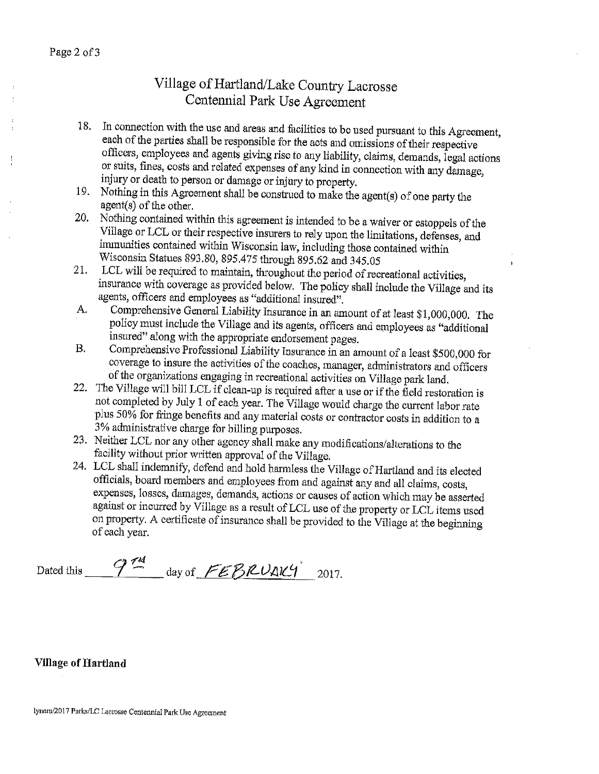# Village of Hartland/Lake Country Lacrosse Centennial Park Use Agreement

- 18. In connection with the use and areas and facilities to be used pursuant to this Agreement, each of the parties shall be responsible for the acts and omissions of their respective officers, employees and agents giving rise to any liability, claims, demands, legal actions or suits, fines, costs and related expenses of any kind in connection with any damage, injury or death to person or damage or injury to property.
- 19. Nothing in this Agreement shall be construed to make the agent(s) of one party the agent(s) of the other.
- Nothing contained within this agreement is intended to be a waiver or estoppels of the 20. Village or LCL or their respective insurers to rely upon the limitations, defenses, and immunities contained within Wisconsin law, including those contained within Wisconsin Statues 893.80, 895.475 through 895.62 and 345.05
- LCL will be required to maintain, throughout the period of recreational activities, 21. insurance with coverage as provided below. The policy shall include the Village and its agents, officers and employees as "additional insured".
- Comprehensive General Liability Insurance in an amount of at least \$1,000,000. The  $\mathbf{A}$ . policy must include the Village and its agents, officers and employees as "additional insured" along with the appropriate endorsement pages.
- Comprehensive Professional Liability Insurance in an amount of a least \$500,000 for **B.** coverage to insure the activities of the coaches, manager, administrators and officers of the organizations engaging in recreational activities on Village park land.
- 22. The Village will bill LCL if clean-up is required after a use or if the field restoration is not completed by July 1 of each year. The Village would charge the current labor rate plus 50% for fringe benefits and any material costs or contractor costs in addition to a 3% administrative charge for billing purposes.
- 23. Neither LCL nor any other agency shall make any modifications/alterations to the facility without prior written approval of the Village.
- 24. LCL shall indemnify, defend and hold harmless the Village of Hartland and its elected officials, board members and employees from and against any and all claims, costs, expenses, losses, damages, demands, actions or causes of action which may be asserted against or incurred by Village as a result of LCL use of the property or LCL items used on property. A certificate of insurance shall be provided to the Village at the beginning of each year.

Dated this  $9^{74}$  day of FEBRUAK4 2017.

### **Village of Hartland**